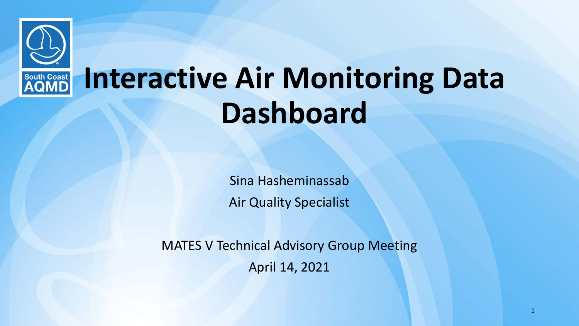

Sina Hasheminassab Air Quality Specialist

MATES V Technical Advisory Group Meeting April 14, 2021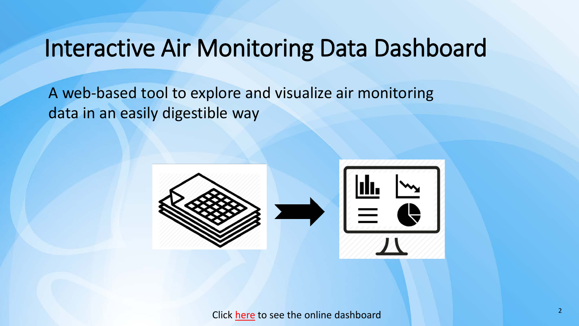A web-based tool to explore and visualize air monitoring data in an easily digestible way

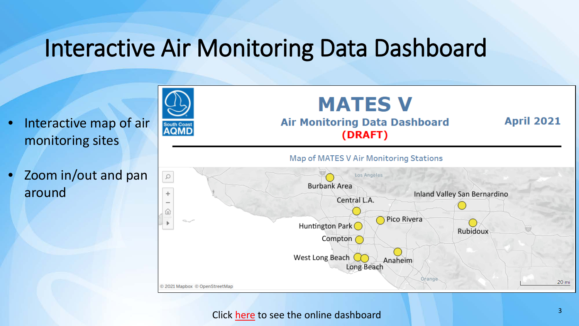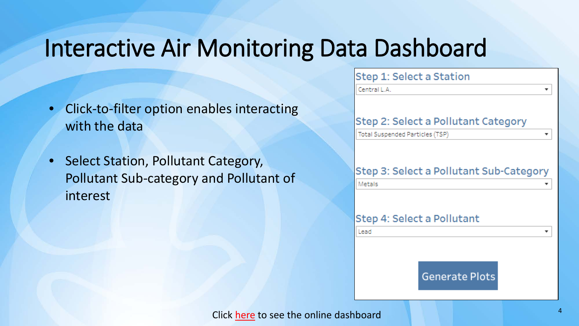- Click-to-filter option enables interacting with the data
- Select Station, Pollutant Category, Pollutant Sub-category and Pollutant of interest

| Step 1: Select a Station                |  |  |  |  |  |
|-----------------------------------------|--|--|--|--|--|
| Central L.A.<br>▼                       |  |  |  |  |  |
|                                         |  |  |  |  |  |
| Step 2: Select a Pollutant Category     |  |  |  |  |  |
| Total Suspended Particles (TSP)         |  |  |  |  |  |
|                                         |  |  |  |  |  |
| Step 3: Select a Pollutant Sub-Category |  |  |  |  |  |
|                                         |  |  |  |  |  |
| Metals                                  |  |  |  |  |  |
|                                         |  |  |  |  |  |
| Step 4: Select a Pollutant              |  |  |  |  |  |
| Lead                                    |  |  |  |  |  |
|                                         |  |  |  |  |  |
|                                         |  |  |  |  |  |
| <b>Generate Plots</b>                   |  |  |  |  |  |
|                                         |  |  |  |  |  |
| 4<br>chhoord                            |  |  |  |  |  |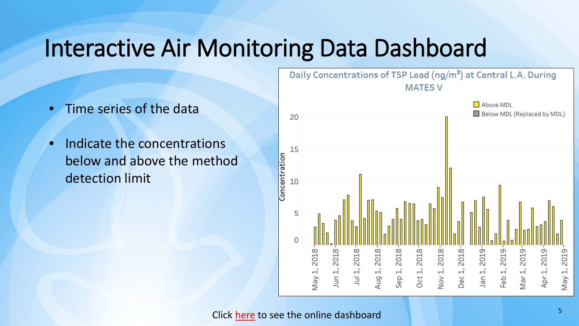- Time series of the data
- Indicate the concentrations below and above the method detection limit

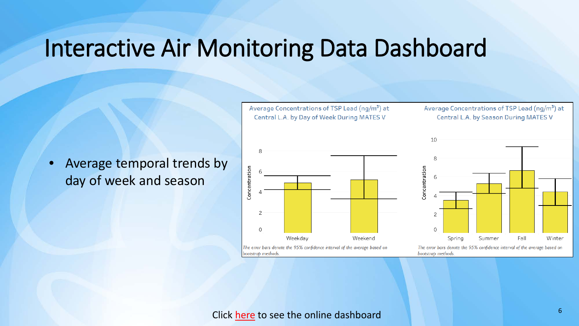• Average temporal trends by day of week and season



Average Concentrations of TSP Lead (ng/m<sup>3</sup>) at

Central L.A. by Day of Week During MATES V





The error bars denote the 95% confidence interval of the average based on bootstrap methods.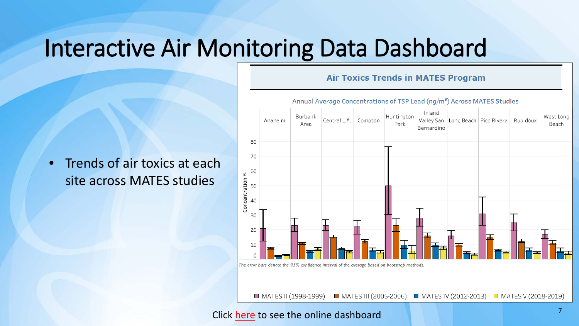### • Trends of air toxics at each site across MATES studies



**Air Toxics Trends in MATES Program**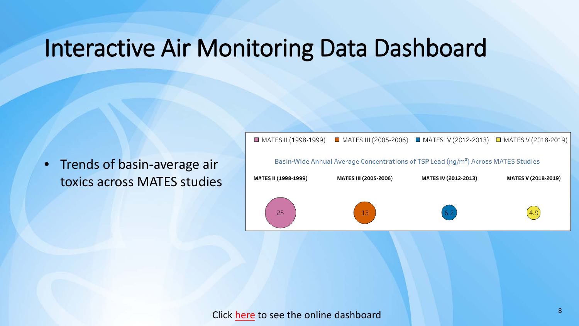• Trends of basin-average air toxics across MATES studies